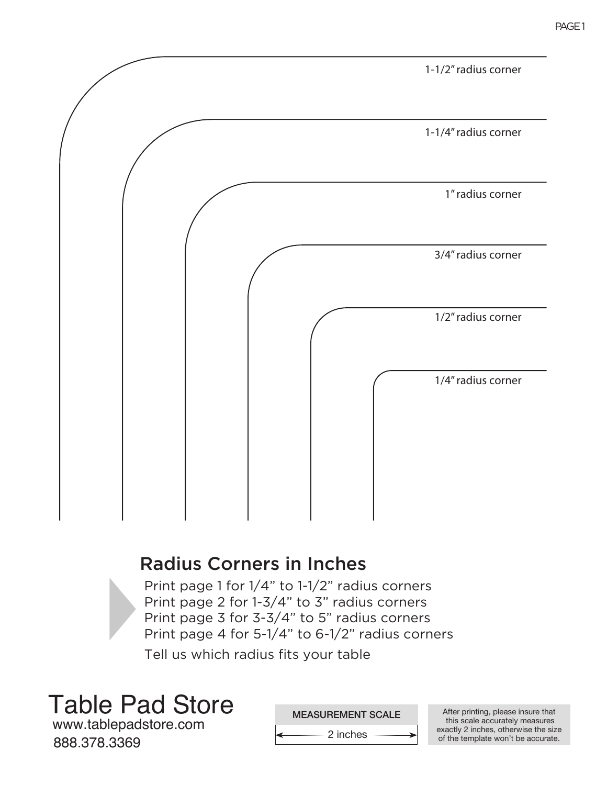

## Radius Corners in Inches

Print page 1 for 1/4" to 1-1/2" radius corners Print page 2 for 1-3/4" to 3" radius corners Print page 3 for 3-3/4" to 5" radius corners Print page 4 for 5-1/4" to 6-1/2" radius corners

Tell us which radius fits your table

Table Pad Store

www.tablepadstore.com 888.378.3369

MEASUREMENT SCALE After printing, please insure that this scale accurately measures exactly 2 inches, otherwise the size of the template won't be accurate.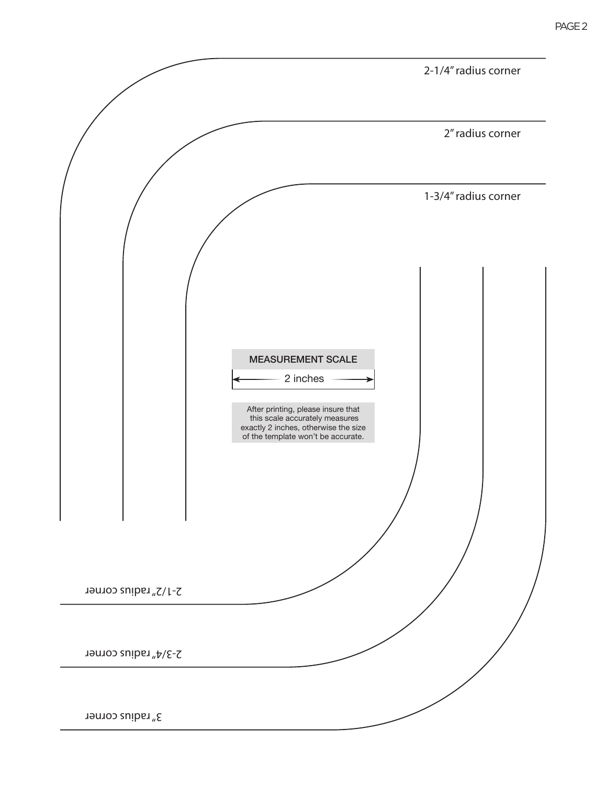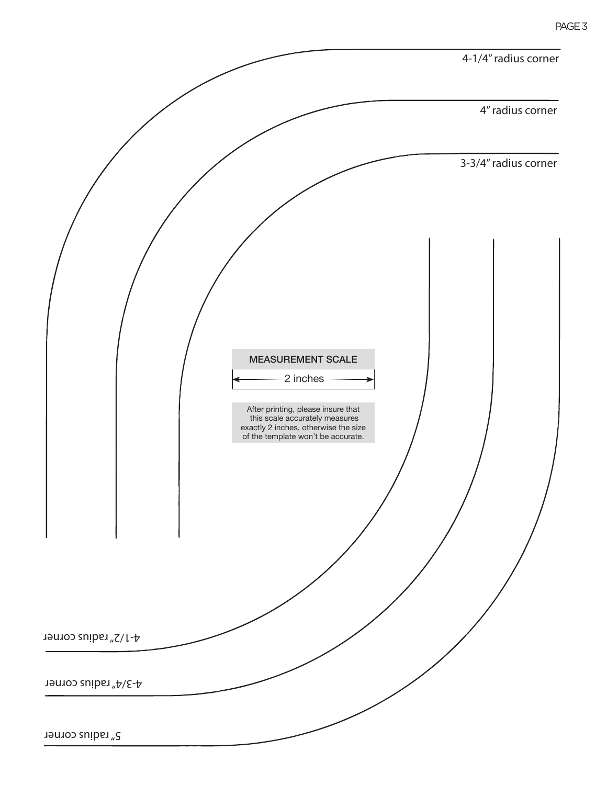